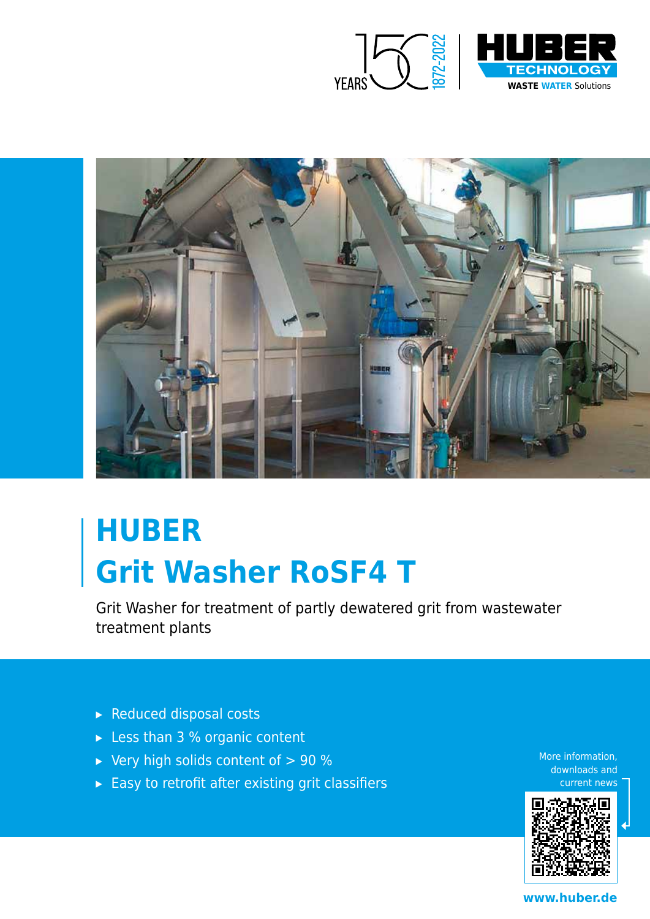



# **HUBER Grit Washer RoSF4 T**

Grit Washer for treatment of partly dewatered grit from wastewater treatment plants

- ▸ Reduced disposal costs
- ▸ Less than 3 % organic content
- $\triangleright$  Very high solids content of  $> 90 \%$
- $\triangleright$  Easy to retrofit after existing grit classifiers

More information, downloads and current news



**www.huber.de**